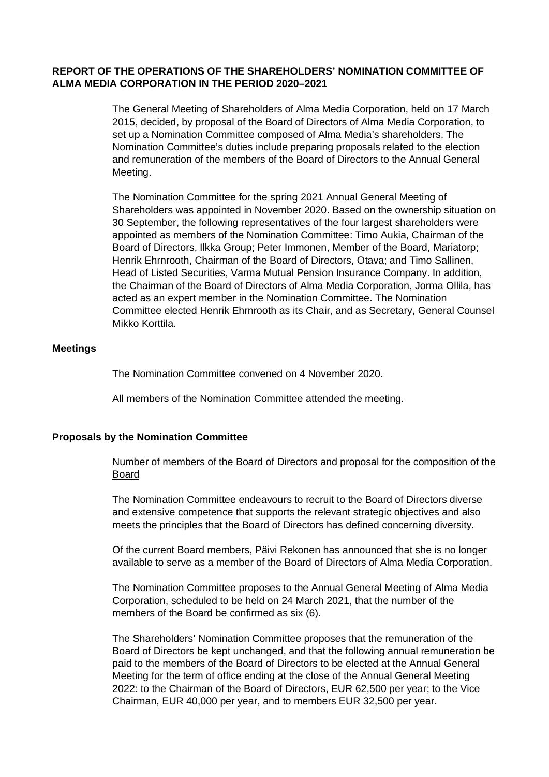## **REPORT OF THE OPERATIONS OF THE SHAREHOLDERS' NOMINATION COMMITTEE OF ALMA MEDIA CORPORATION IN THE PERIOD 2020–2021**

The General Meeting of Shareholders of Alma Media Corporation, held on 17 March 2015, decided, by proposal of the Board of Directors of Alma Media Corporation, to set up a Nomination Committee composed of Alma Media's shareholders. The Nomination Committee's duties include preparing proposals related to the election and remuneration of the members of the Board of Directors to the Annual General Meeting.

The Nomination Committee for the spring 2021 Annual General Meeting of Shareholders was appointed in November 2020. Based on the ownership situation on 30 September, the following representatives of the four largest shareholders were appointed as members of the Nomination Committee: Timo Aukia, Chairman of the Board of Directors, Ilkka Group; Peter Immonen, Member of the Board, Mariatorp; Henrik Ehrnrooth, Chairman of the Board of Directors, Otava; and Timo Sallinen, Head of Listed Securities, Varma Mutual Pension Insurance Company. In addition, the Chairman of the Board of Directors of Alma Media Corporation, Jorma Ollila, has acted as an expert member in the Nomination Committee. The Nomination Committee elected Henrik Ehrnrooth as its Chair, and as Secretary, General Counsel Mikko Korttila.

## **Meetings**

The Nomination Committee convened on 4 November 2020.

All members of the Nomination Committee attended the meeting.

## **Proposals by the Nomination Committee**

Number of members of the Board of Directors and proposal for the composition of the Board

The Nomination Committee endeavours to recruit to the Board of Directors diverse and extensive competence that supports the relevant strategic objectives and also meets the principles that the Board of Directors has defined concerning diversity.

Of the current Board members, Päivi Rekonen has announced that she is no longer available to serve as a member of the Board of Directors of Alma Media Corporation.

The Nomination Committee proposes to the Annual General Meeting of Alma Media Corporation, scheduled to be held on 24 March 2021, that the number of the members of the Board be confirmed as six (6).

The Shareholders' Nomination Committee proposes that the remuneration of the Board of Directors be kept unchanged, and that the following annual remuneration be paid to the members of the Board of Directors to be elected at the Annual General Meeting for the term of office ending at the close of the Annual General Meeting 2022: to the Chairman of the Board of Directors, EUR 62,500 per year; to the Vice Chairman, EUR 40,000 per year, and to members EUR 32,500 per year.